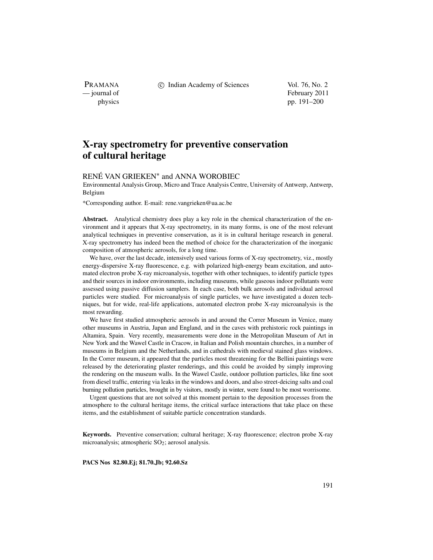PRAMANA<br>
— journal of

c Indian Academy of Sciences Vol. 76, No. 2

February 2011 physics pp. 191–200

# **X-ray spectrometry for preventive conservation of cultural heritage**

# RENÉ VAN GRIEKEN∗ and ANNA WOROBIEC

Environmental Analysis Group, Micro and Trace Analysis Centre, University of Antwerp, Antwerp, Belgium

\*Corresponding author. E-mail: rene.vangrieken@ua.ac.be

**Abstract.** Analytical chemistry does play a key role in the chemical characterization of the environment and it appears that X-ray spectrometry, in its many forms, is one of the most relevant analytical techniques in preventive conservation, as it is in cultural heritage research in general. X-ray spectrometry has indeed been the method of choice for the characterization of the inorganic composition of atmospheric aerosols, for a long time.

We have, over the last decade, intensively used various forms of X-ray spectrometry, viz., mostly energy-dispersive X-ray fluorescence, e.g. with polarized high-energy beam excitation, and automated electron probe X-ray microanalysis, together with other techniques, to identify particle types and their sources in indoor environments, including museums, while gaseous indoor pollutants were assessed using passive diffusion samplers. In each case, both bulk aerosols and individual aerosol particles were studied. For microanalysis of single particles, we have investigated a dozen techniques, but for wide, real-life applications, automated electron probe X-ray microanalysis is the most rewarding.

We have first studied atmospheric aerosols in and around the Correr Museum in Venice, many other museums in Austria, Japan and England, and in the caves with prehistoric rock paintings in Altamira, Spain. Very recently, measurements were done in the Metropolitan Museum of Art in New York and the Wawel Castle in Cracow, in Italian and Polish mountain churches, in a number of museums in Belgium and the Netherlands, and in cathedrals with medieval stained glass windows. In the Correr museum, it appeared that the particles most threatening for the Bellini paintings were released by the deteriorating plaster renderings, and this could be avoided by simply improving the rendering on the museum walls. In the Wawel Castle, outdoor pollution particles, like fine soot from diesel traffic, entering via leaks in the windows and doors, and also street-deicing salts and coal burning pollution particles, brought in by visitors, mostly in winter, were found to be most worrisome.

Urgent questions that are not solved at this moment pertain to the deposition processes from the atmosphere to the cultural heritage items, the critical surface interactions that take place on these items, and the establishment of suitable particle concentration standards.

**Keywords.** Preventive conservation; cultural heritage; X-ray fluorescence; electron probe X-ray microanalysis; atmospheric SO<sub>2</sub>; aerosol analysis.

**PACS Nos 82.80.Ej; 81.70.Jb; 92.60.Sz**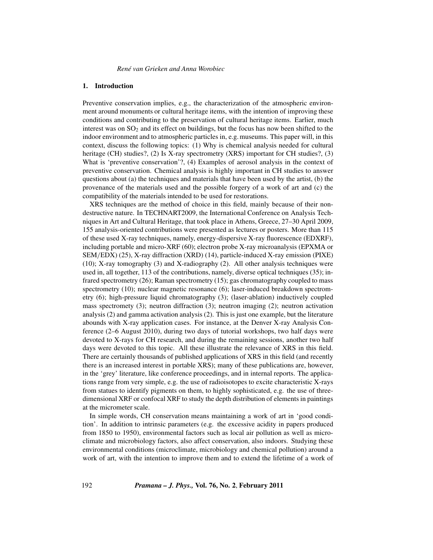# **1. Introduction**

Preventive conservation implies, e.g., the characterization of the atmospheric environment around monuments or cultural heritage items, with the intention of improving these conditions and contributing to the preservation of cultural heritage items. Earlier, much interest was on  $SO_2$  and its effect on buildings, but the focus has now been shifted to the indoor environment and to atmospheric particles in, e.g. museums. This paper will, in this context, discuss the following topics: (1) Why is chemical analysis needed for cultural heritage (CH) studies?, (2) Is X-ray spectrometry (XRS) important for CH studies?, (3) What is 'preventive conservation'?, (4) Examples of aerosol analysis in the context of preventive conservation. Chemical analysis is highly important in CH studies to answer questions about (a) the techniques and materials that have been used by the artist, (b) the provenance of the materials used and the possible forgery of a work of art and (c) the compatibility of the materials intended to be used for restorations.

XRS techniques are the method of choice in this field, mainly because of their nondestructive nature. In TECHNART2009, the International Conference on Analysis Techniques in Art and Cultural Heritage, that took place in Athens, Greece, 27–30 April 2009, 155 analysis-oriented contributions were presented as lectures or posters. More than 115 of these used X-ray techniques, namely, energy-dispersive X-ray fluorescence (EDXRF), including portable and micro-XRF (60); electron probe X-ray microanalysis (EPXMA or SEM*/*EDX) (25), X-ray diffraction (XRD) (14), particle-induced X-ray emission (PIXE) (10); X-ray tomography (3) and X-radiography (2). All other analysis techniques were used in, all together, 113 of the contributions, namely, diverse optical techniques (35); infrared spectrometry (26); Raman spectrometry (15); gas chromatography coupled to mass spectrometry (10); nuclear magnetic resonance (6); laser-induced breakdown spectrometry (6); high-pressure liquid chromatography (3); (laser-ablation) inductively coupled mass spectromety (3); neutron diffraction (3); neutron imaging (2); neutron activation analysis (2) and gamma activation analysis (2). This is just one example, but the literature abounds with X-ray application cases. For instance, at the Denver X-ray Analysis Conference (2–6 August 2010), during two days of tutorial workshops, two half days were devoted to X-rays for CH research, and during the remaining sessions, another two half days were devoted to this topic. All these illustrate the relevance of XRS in this field. There are certainly thousands of published applications of XRS in this field (and recently there is an increased interest in portable XRS); many of these publications are, however, in the 'grey' literature, like conference proceedings, and in internal reports. The applications range from very simple, e.g. the use of radioisotopes to excite characteristic X-rays from statues to identify pigments on them, to highly sophisticated, e.g. the use of threedimensional XRF or confocal XRF to study the depth distribution of elements in paintings at the micrometer scale.

In simple words, CH conservation means maintaining a work of art in 'good condition'. In addition to intrinsic parameters (e.g. the excessive acidity in papers produced from 1850 to 1950), environmental factors such as local air pollution as well as microclimate and microbiology factors, also affect conservation, also indoors. Studying these environmental conditions (microclimate, microbiology and chemical pollution) around a work of art, with the intention to improve them and to extend the lifetime of a work of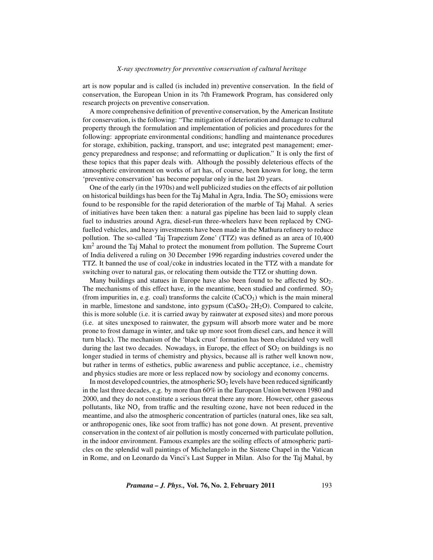art is now popular and is called (is included in) preventive conservation. In the field of conservation, the European Union in its 7th Framework Program, has considered only research projects on preventive conservation.

A more comprehensive definition of preventive conservation, by the American Institute for conservation, is the following: "The mitigation of deterioration and damage to cultural property through the formulation and implementation of policies and procedures for the following: appropriate environmental conditions; handling and maintenance procedures for storage, exhibition, packing, transport, and use; integrated pest management; emergency preparedness and response; and reformatting or duplication." It is only the first of these topics that this paper deals with. Although the possibly deleterious effects of the atmospheric environment on works of art has, of course, been known for long, the term 'preventive conservation' has become popular only in the last 20 years.

One of the early (in the 1970s) and well publicized studies on the effects of air pollution on historical buildings has been for the Taj Mahal in Agra, India. The  $SO<sub>2</sub>$  emissions were found to be responsible for the rapid deterioration of the marble of Taj Mahal. A series of initiatives have been taken then: a natural gas pipeline has been laid to supply clean fuel to industries around Agra, diesel-run three-wheelers have been replaced by CNGfuelled vehicles, and heavy investments have been made in the Mathura refinery to reduce pollution. The so-called 'Taj Trapezium Zone' (TTZ) was defined as an area of 10,400  $km<sup>2</sup>$  around the Taj Mahal to protect the monument from pollution. The Supreme Court of India delivered a ruling on 30 December 1996 regarding industries covered under the TTZ. It banned the use of coal*/*coke in industries located in the TTZ with a mandate for switching over to natural gas, or relocating them outside the TTZ or shutting down.

Many buildings and statues in Europe have also been found to be affected by  $SO_2$ . The mechanisms of this effect have, in the meantime, been studied and confirmed.  $SO<sub>2</sub>$ (from impurities in, e.g. coal) transforms the calcite  $(CaCO<sub>3</sub>)$  which is the main mineral in marble, limestone and sandstone, into gypsum  $(CaSO<sub>4</sub>·2H<sub>2</sub>O)$ . Compared to calcite, this is more soluble (i.e. it is carried away by rainwater at exposed sites) and more porous (i.e. at sites unexposed to rainwater, the gypsum will absorb more water and be more prone to frost damage in winter, and take up more soot from diesel cars, and hence it will turn black). The mechanism of the 'black crust' formation has been elucidated very well during the last two decades. Nowadays, in Europe, the effect of  $SO<sub>2</sub>$  on buildings is no longer studied in terms of chemistry and physics, because all is rather well known now, but rather in terms of esthetics, public awareness and public acceptance, i.e., chemistry and physics studies are more or less replaced now by sociology and economy concerns.

In most developed countries, the atmospheric  $SO<sub>2</sub>$  levels have been reduced significantly in the last three decades, e.g. by more than 60% in the European Union between 1980 and 2000, and they do not constitute a serious threat there any more. However, other gaseous pollutants, like  $NO<sub>x</sub>$  from traffic and the resulting ozone, have not been reduced in the meantime, and also the atmospheric concentration of particles (natural ones, like sea salt, or anthropogenic ones, like soot from traffic) has not gone down. At present, preventive conservation in the context of air pollution is mostly concerned with particulate pollution, in the indoor environment. Famous examples are the soiling effects of atmospheric particles on the splendid wall paintings of Michelangelo in the Sistene Chapel in the Vatican in Rome, and on Leonardo da Vinci's Last Supper in Milan. Also for the Taj Mahal, by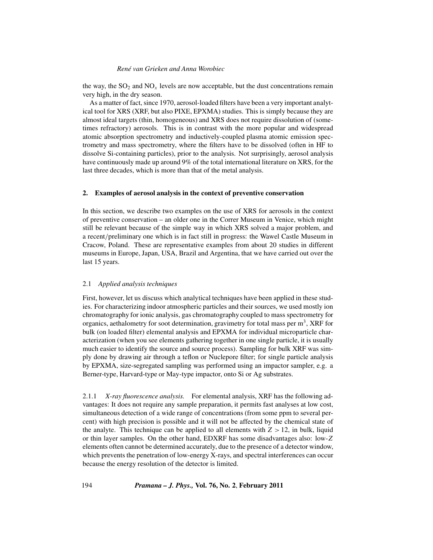the way, the  $SO_2$  and  $NO_x$  levels are now acceptable, but the dust concentrations remain very high, in the dry season.

As a matter of fact, since 1970, aerosol-loaded filters have been a very important analytical tool for XRS (XRF, but also PIXE, EPXMA) studies. This is simply because they are almost ideal targets (thin, homogeneous) and XRS does not require dissolution of (sometimes refractory) aerosols. This is in contrast with the more popular and widespread atomic absorption spectrometry and inductively-coupled plasma atomic emission spectrometry and mass spectrometry, where the filters have to be dissolved (often in HF to dissolve Si-containing particles), prior to the analysis. Not surprisingly, aerosol analysis have continuously made up around 9% of the total international literature on XRS, for the last three decades, which is more than that of the metal analysis.

# **2. Examples of aerosol analysis in the context of preventive conservation**

In this section, we describe two examples on the use of XRS for aerosols in the context of preventive conservation – an older one in the Correr Museum in Venice, which might still be relevant because of the simple way in which XRS solved a major problem, and a recent*/*preliminary one which is in fact still in progress: the Wawel Castle Museum in Cracow, Poland. These are representative examples from about 20 studies in different museums in Europe, Japan, USA, Brazil and Argentina, that we have carried out over the last 15 years.

# 2.1 *Applied analysis techniques*

First, however, let us discuss which analytical techniques have been applied in these studies. For characterizing indoor atmospheric particles and their sources, we used mostly ion chromatography for ionic analysis, gas chromatography coupled to mass spectrometry for organics, aethalometry for soot determination, gravimetry for total mass per  $m<sup>3</sup>$ , XRF for bulk (on loaded filter) elemental analysis and EPXMA for individual microparticle characterization (when you see elements gathering together in one single particle, it is usually much easier to identify the source and source process). Sampling for bulk XRF was simply done by drawing air through a teflon or Nuclepore filter; for single particle analysis by EPXMA, size-segregated sampling was performed using an impactor sampler, e.g. a Berner-type, Harvard-type or May-type impactor, onto Si or Ag substrates.

2.1.1 *X-ray fluorescence analysis.* For elemental analysis, XRF has the following advantages: It does not require any sample preparation, it permits fast analyses at low cost, simultaneous detection of a wide range of concentrations (from some ppm to several percent) with high precision is possible and it will not be affected by the chemical state of the analyte. This technique can be applied to all elements with  $Z > 12$ , in bulk, liquid or thin layer samples. On the other hand, EDXRF has some disadvantages also: low-*Z* elements often cannot be determined accurately, due to the presence of a detector window, which prevents the penetration of low-energy X-rays, and spectral interferences can occur because the energy resolution of the detector is limited.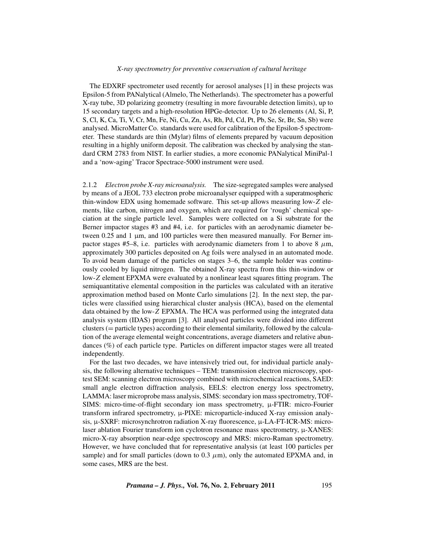The EDXRF spectrometer used recently for aerosol analyses [1] in these projects was Epsilon-5 from PANalytical (Almelo, The Netherlands). The spectrometer has a powerful X-ray tube, 3D polarizing geometry (resulting in more favourable detection limits), up to 15 secondary targets and a high-resolution HPGe-detector. Up to 26 elements (Al, Si, P, S, Cl, K, Ca, Ti, V, Cr, Mn, Fe, Ni, Cu, Zn, As, Rh, Pd, Cd, Pt, Pb, Se, Sr, Br, Sn, Sb) were analysed. MicroMatter Co. standards were used for calibration of the Epsilon-5 spectrometer. These standards are thin (Mylar) films of elements prepared by vacuum deposition resulting in a highly uniform deposit. The calibration was checked by analysing the standard CRM 2783 from NIST. In earlier studies, a more economic PANalytical MiniPal-1 and a 'now-aging' Tracor Spectrace-5000 instrument were used.

2.1.2 *Electron probe X-ray microanalysis.* The size-segregated samples were analysed by means of a JEOL 733 electron probe microanalyser equipped with a superatmospheric thin-window EDX using homemade software. This set-up allows measuring low-*Z* elements, like carbon, nitrogen and oxygen, which are required for 'rough' chemical speciation at the single particle level. Samples were collected on a Si substrate for the Berner impactor stages #3 and #4, i.e. for particles with an aerodynamic diameter between 0.25 and 1  $\mu$ m, and 100 particles were then measured manually. For Berner impactor stages  $#5-8$ , i.e. particles with aerodynamic diameters from 1 to above 8  $\mu$ m, approximately 300 particles deposited on Ag foils were analysed in an automated mode. To avoid beam damage of the particles on stages 3–6, the sample holder was continuously cooled by liquid nitrogen. The obtained X-ray spectra from this thin-window or low-*Z* element EPXMA were evaluated by a nonlinear least squares fitting program. The semiquantitative elemental composition in the particles was calculated with an iterative approximation method based on Monte Carlo simulations [2]. In the next step, the particles were classified using hierarchical cluster analysis (HCA), based on the elemental data obtained by the low-*Z* EPXMA. The HCA was performed using the integrated data analysis system (IDAS) program [3]. All analysed particles were divided into different clusters (= particle types) according to their elemental similarity, followed by the calculation of the average elemental weight concentrations, average diameters and relative abundances (%) of each particle type. Particles on different impactor stages were all treated independently.

For the last two decades, we have intensively tried out, for individual particle analysis, the following alternative techniques – TEM: transmission electron microscopy, spottest SEM: scanning electron microscopy combined with microchemical reactions, SAED: small angle electron diffraction analysis, EELS: electron energy loss spectrometry, LAMMA: laser microprobe mass analysis, SIMS: secondary ion mass spectrometry, TOF-SIMS: micro-time-of-flight secondary ion mass spectrometry,  $\mu$ -FTIR: micro-Fourier transform infrared spectrometry, µ-PIXE: microparticle-induced X-ray emission analysis,  $\mu$ -SXRF: microsynchrotron radiation X-ray fluorescence,  $\mu$ -LA-FT-ICR-MS: microlaser ablation Fourier transform ion cyclotron resonance mass spectrometry, µ-XANES: micro-X-ray absorption near-edge spectroscopy and MRS: micro-Raman spectrometry. However, we have concluded that for representative analysis (at least 100 particles per sample) and for small particles (down to  $0.3 \mu$ m), only the automated EPXMA and, in some cases, MRS are the best.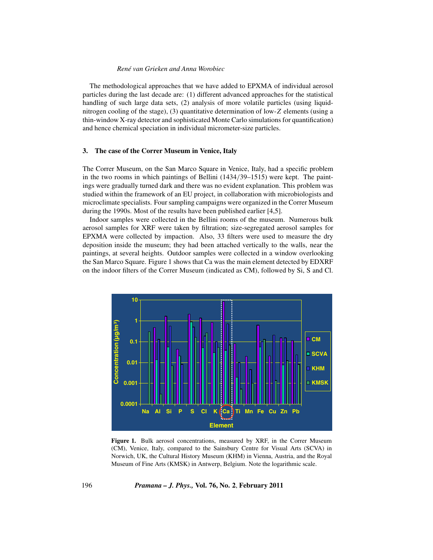The methodological approaches that we have added to EPXMA of individual aerosol particles during the last decade are: (1) different advanced approaches for the statistical handling of such large data sets, (2) analysis of more volatile particles (using liquidnitrogen cooling of the stage), (3) quantitative determination of low-*Z* elements (using a thin-window X-ray detector and sophisticated Monte Carlo simulations for quantification) and hence chemical speciation in individual micrometer-size particles.

# **3. The case of the Correr Museum in Venice, Italy**

The Correr Museum, on the San Marco Square in Venice, Italy, had a specific problem in the two rooms in which paintings of Bellini (1434*/*39–1515) were kept. The paintings were gradually turned dark and there was no evident explanation. This problem was studied within the framework of an EU project, in collaboration with microbiologists and microclimate specialists. Four sampling campaigns were organized in the Correr Museum during the 1990s. Most of the results have been published earlier [4,5].

Indoor samples were collected in the Bellini rooms of the museum. Numerous bulk aerosol samples for XRF were taken by filtration; size-segregated aerosol samples for EPXMA were collected by impaction. Also, 33 filters were used to measure the dry deposition inside the museum; they had been attached vertically to the walls, near the paintings, at several heights. Outdoor samples were collected in a window overlooking the San Marco Square. Figure 1 shows that Ca was the main element detected by EDXRF on the indoor filters of the Correr Museum (indicated as CM), followed by Si, S and Cl.



Figure 1. Bulk aerosol concentrations, measured by XRF, in the Correr Museum (CM), Venice, Italy, compared to the Sainsbury Centre for Visual Arts (SCVA) in Norwich, UK, the Cultural History Museum (KHM) in Vienna, Austria, and the Royal Museum of Fine Arts (KMSK) in Antwerp, Belgium. Note the logarithmic scale.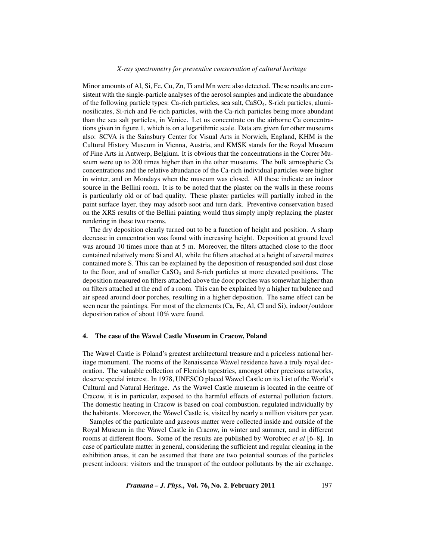Minor amounts of Al, Si, Fe, Cu, Zn, Ti and Mn were also detected. These results are consistent with the single-particle analyses of the aerosol samples and indicate the abundance of the following particle types: Ca-rich particles, sea salt, CaSO4, S-rich particles, aluminosilicates, Si-rich and Fe-rich particles, with the Ca-rich particles being more abundant than the sea salt particles, in Venice. Let us concentrate on the airborne Ca concentrations given in figure 1, which is on a logarithmic scale. Data are given for other museums also: SCVA is the Sainsbury Center for Visual Arts in Norwich, England, KHM is the Cultural History Museum in Vienna, Austria, and KMSK stands for the Royal Museum of Fine Arts in Antwerp, Belgium. It is obvious that the concentrations in the Correr Museum were up to 200 times higher than in the other museums. The bulk atmospheric Ca concentrations and the relative abundance of the Ca-rich individual particles were higher in winter, and on Mondays when the museum was closed. All these indicate an indoor source in the Bellini room. It is to be noted that the plaster on the walls in these rooms is particularly old or of bad quality. These plaster particles will partially imbed in the paint surface layer, they may adsorb soot and turn dark. Preventive conservation based on the XRS results of the Bellini painting would thus simply imply replacing the plaster rendering in these two rooms.

The dry deposition clearly turned out to be a function of height and position. A sharp decrease in concentration was found with increasing height. Deposition at ground level was around 10 times more than at 5 m. Moreover, the filters attached close to the floor contained relatively more Si and Al, while the filters attached at a height of several metres contained more S. This can be explained by the deposition of resuspended soil dust close to the floor, and of smaller CaSO<sub>4</sub> and S-rich particles at more elevated positions. The deposition measured on filters attached above the door porches was somewhat higher than on filters attached at the end of a room. This can be explained by a higher turbulence and air speed around door porches, resulting in a higher deposition. The same effect can be seen near the paintings. For most of the elements (Ca, Fe, Al, Cl and Si), indoor*/*outdoor deposition ratios of about 10% were found.

#### **4. The case of the Wawel Castle Museum in Cracow, Poland**

The Wawel Castle is Poland's greatest architectural treasure and a priceless national heritage monument. The rooms of the Renaissance Wawel residence have a truly royal decoration. The valuable collection of Flemish tapestries, amongst other precious artworks, deserve special interest. In 1978, UNESCO placed Wawel Castle on its List of the World's Cultural and Natural Heritage. As the Wawel Castle museum is located in the centre of Cracow, it is in particular, exposed to the harmful effects of external pollution factors. The domestic heating in Cracow is based on coal combustion, regulated individually by the habitants. Moreover, the Wawel Castle is, visited by nearly a million visitors per year.

Samples of the particulate and gaseous matter were collected inside and outside of the Royal Museum in the Wawel Castle in Cracow, in winter and summer, and in different rooms at different floors. Some of the results are published by Worobiec *et al* [6–8]. In case of particulate matter in general, considering the sufficient and regular cleaning in the exhibition areas, it can be assumed that there are two potential sources of the particles present indoors: visitors and the transport of the outdoor pollutants by the air exchange.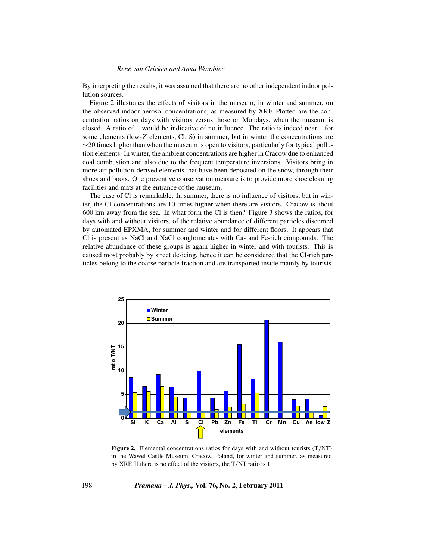By interpreting the results, it was assumed that there are no other independent indoor pollution sources.

Figure 2 illustrates the effects of visitors in the museum, in winter and summer, on the observed indoor aerosol concentrations, as measured by XRF. Plotted are the concentration ratios on days with visitors versus those on Mondays, when the museum is closed. A ratio of 1 would be indicative of no influence. The ratio is indeed near 1 for some elements (low-*Z* elements, Cl, S) in summer, but in winter the concentrations are  $\sim$ 20 times higher than when the museum is open to visitors, particularly for typical pollution elements. In winter, the ambient concentrations are higher in Cracow due to enhanced coal combustion and also due to the frequent temperature inversions. Visitors bring in more air pollution-derived elements that have been deposited on the snow, through their shoes and boots. One preventive conservation measure is to provide more shoe cleaning facilities and mats at the entrance of the museum.

The case of Cl is remarkable. In summer, there is no influence of visitors, but in winter, the Cl concentrations are 10 times higher when there are visitors. Cracow is about 600 km away from the sea. In what form the Cl is then? Figure 3 shows the ratios, for days with and without visitors, of the relative abundance of different particles discerned by automated EPXMA, for summer and winter and for different floors. It appears that Cl is present as NaCl and NaCl conglomerates with Ca- and Fe-rich compounds. The relative abundance of these groups is again higher in winter and with tourists. This is caused most probably by street de-icing, hence it can be considered that the Cl-rich particles belong to the coarse particle fraction and are transported inside mainly by tourists.



**Figure 2.** Elemental concentrations ratios for days with and without tourists (T*/*NT) in the Wawel Castle Museum, Cracow, Poland, for winter and summer, as measured by XRF. If there is no effect of the visitors, the T*/*NT ratio is 1.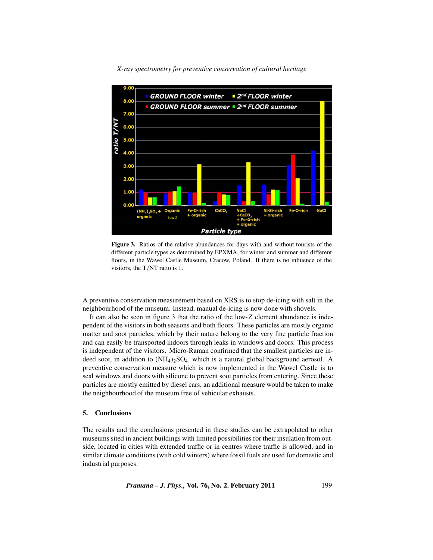

**Figure 3.** Ratios of the relative abundances for days with and without tourists of the different particle types as determined by EPXMA, for winter and summer and different floors, in the Wawel Castle Museum, Cracow, Poland. If there is no influence of the visitors, the T*/*NT ratio is 1.

A preventive conservation measurement based on XRS is to stop de-icing with salt in the neighbourhood of the museum. Instead, manual de-icing is now done with shovels.

It can also be seen in figure 3 that the ratio of the low-*Z* element abundance is independent of the visitors in both seasons and both floors. These particles are mostly organic matter and soot particles, which by their nature belong to the very fine particle fraction and can easily be transported indoors through leaks in windows and doors. This process is independent of the visitors. Micro-Raman confirmed that the smallest particles are indeed soot, in addition to (NH4*)*2SO4, which is a natural global background aerosol. A preventive conservation measure which is now implemented in the Wawel Castle is to seal windows and doors with silicone to prevent soot particles from entering. Since these particles are mostly emitted by diesel cars, an additional measure would be taken to make the neighbourhood of the museum free of vehicular exhausts.

# **5. Conclusions**

The results and the conclusions presented in these studies can be extrapolated to other museums sited in ancient buildings with limited possibilities for their insulation from outside, located in cities with extended traffic or in centres where traffic is allowed, and in similar climate conditions (with cold winters) where fossil fuels are used for domestic and industrial purposes.